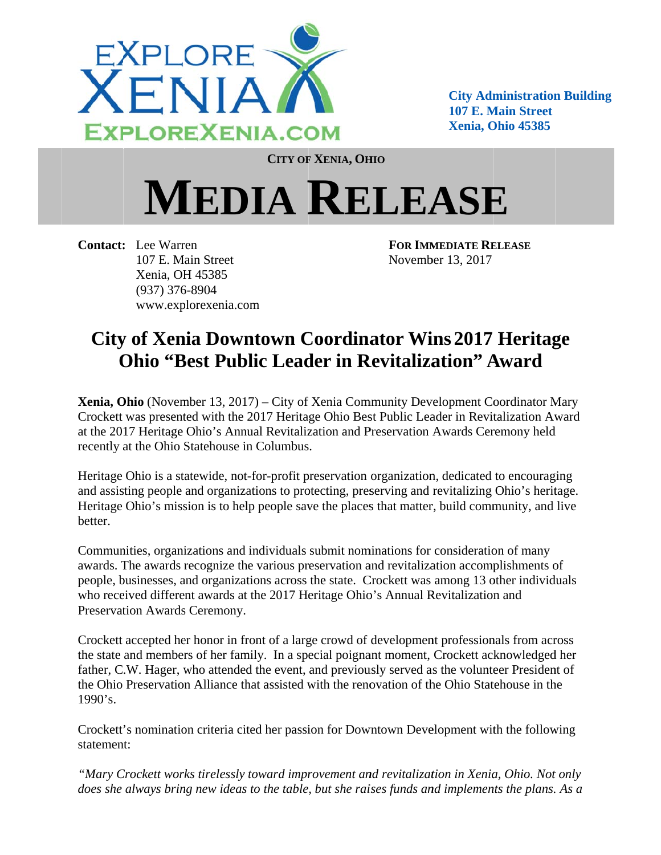

**City Administration Building** 107 E. Main Street Xenia. Ohio 45385

**CITY OF XENIA, OHIO** 

## **MEDIA RELEASE**

**Contact:** Lee Warren 107 E. Main Street Xenia, OH 45385  $(937)$  376-8904 www.explorexenia.com **FOR IMMEDIATE RELEASE** November 13, 2017

## **City of Xenia Downtown Coordinator Wins 2017 Heritage Ohio "Best Public Leader in Revitalization" Award**

Xenia, Ohio (November 13, 2017) – City of Xenia Community Development Coordinator Mary Crockett was presented with the 2017 Heritage Ohio Best Public Leader in Revitalization Award at the 2017 Heritage Ohio's Annual Revitalization and Preservation Awards Ceremony held recently at the Ohio Statehouse in Columbus.

Heritage Ohio is a statewide, not-for-profit preservation organization, dedicated to encouraging and assisting people and organizations to protecting, preserving and revitalizing Ohio's heritage. Heritage Ohio's mission is to help people save the places that matter, build community, and live better.

Communities, organizations and individuals submit nominations for consideration of many awards. The awards recognize the various preservation and revitalization accomplishments of people, businesses, and organizations across the state. Crockett was among 13 other individuals who received different awards at the 2017 Heritage Ohio's Annual Revitalization and Preservation Awards Ceremony.

Crockett accepted her honor in front of a large crowd of development professionals from across the state and members of her family. In a special poignant moment, Crockett acknowledged her father, C.W. Hager, who attended the event, and previously served as the volunteer President of the Ohio Preservation Alliance that assisted with the renovation of the Ohio Statehouse in the  $1990's.$ 

Crockett's nomination criteria cited her passion for Downtown Development with the following statement:

"Mary Crockett works tirelessly toward improvement and revitalization in Xenia, Ohio. Not only does she always bring new ideas to the table, but she raises funds and implements the plans. As a